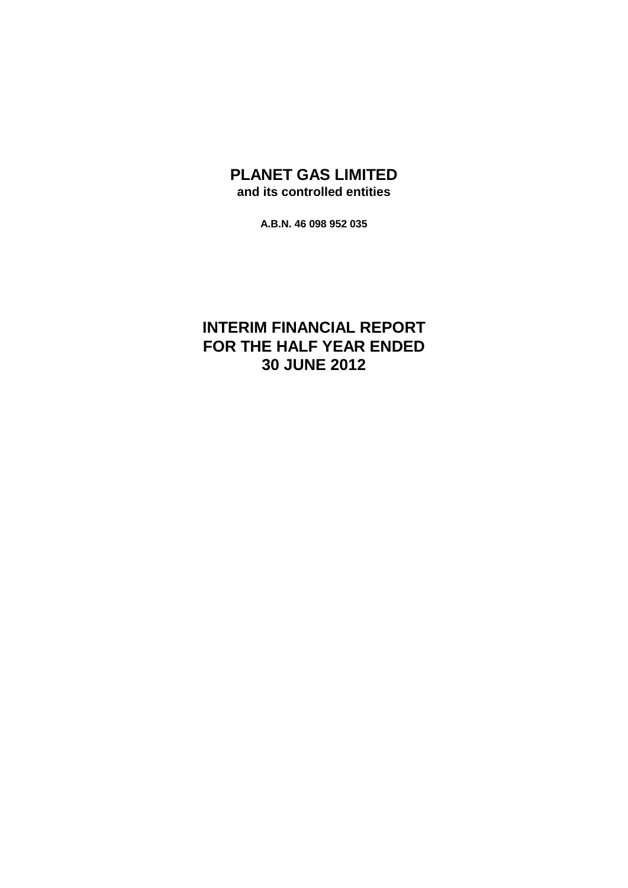## **PLANET GAS LIMITED and its controlled entities**

**A.B.N. 46 098 952 035**

# **INTERIM FINANCIAL REPORT FOR THE HALF YEAR ENDED 30 JUNE 2012**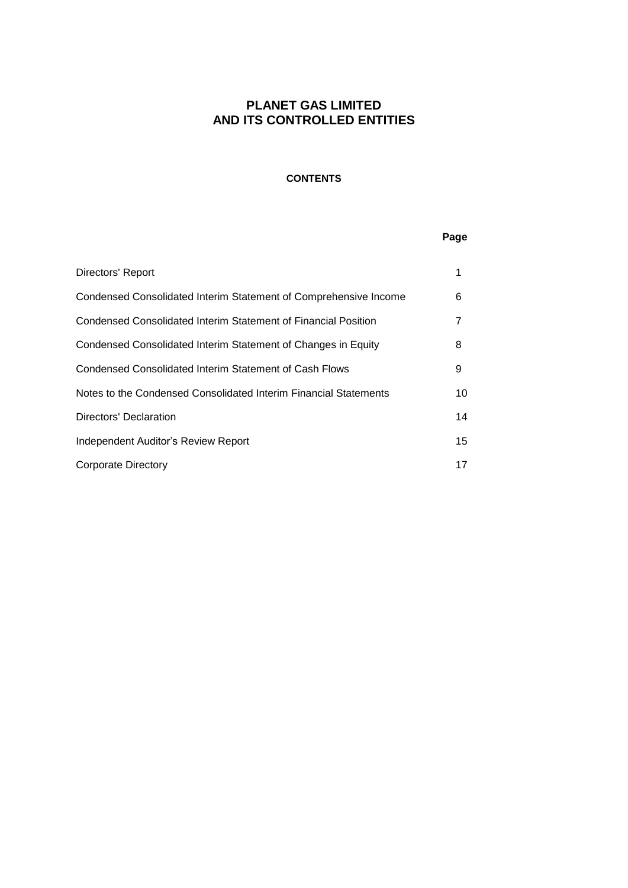### **CONTENTS**

## **Page**

| Directors' Report                                                |    |
|------------------------------------------------------------------|----|
| Condensed Consolidated Interim Statement of Comprehensive Income | 6  |
| Condensed Consolidated Interim Statement of Financial Position   |    |
| Condensed Consolidated Interim Statement of Changes in Equity    | 8  |
| Condensed Consolidated Interim Statement of Cash Flows           | 9  |
| Notes to the Condensed Consolidated Interim Financial Statements | 10 |
| Directors' Declaration                                           | 14 |
| Independent Auditor's Review Report                              | 15 |
| <b>Corporate Directory</b>                                       | 17 |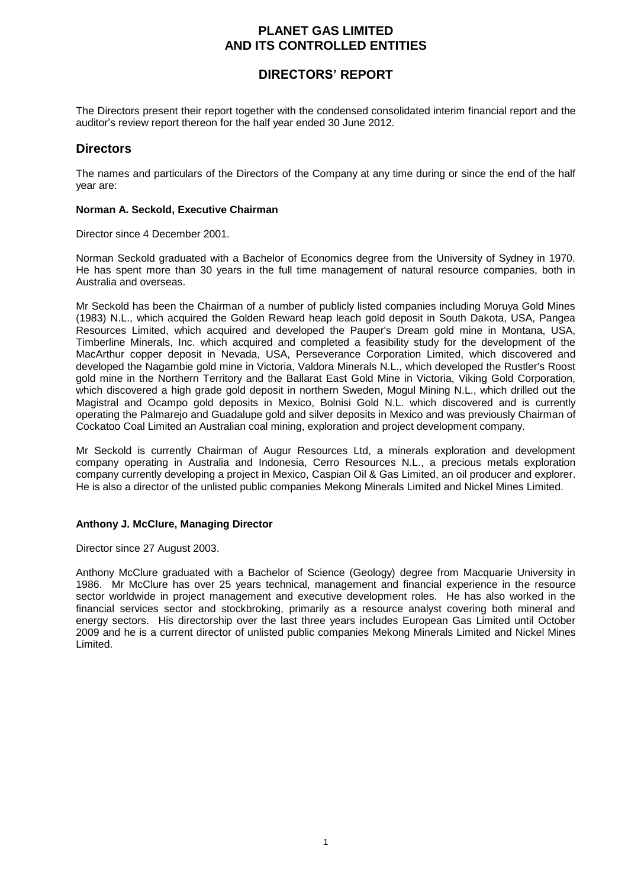## **DIRECTORS' REPORT**

The Directors present their report together with the condensed consolidated interim financial report and the auditor's review report thereon for the half year ended 30 June 2012.

## **Directors**

The names and particulars of the Directors of the Company at any time during or since the end of the half year are:

### **Norman A. Seckold, Executive Chairman**

Director since 4 December 2001.

Norman Seckold graduated with a Bachelor of Economics degree from the University of Sydney in 1970. He has spent more than 30 years in the full time management of natural resource companies, both in Australia and overseas.

Mr Seckold has been the Chairman of a number of publicly listed companies including Moruya Gold Mines (1983) N.L., which acquired the Golden Reward heap leach gold deposit in South Dakota, USA, Pangea Resources Limited, which acquired and developed the Pauper's Dream gold mine in Montana, USA, Timberline Minerals, Inc. which acquired and completed a feasibility study for the development of the MacArthur copper deposit in Nevada, USA, Perseverance Corporation Limited, which discovered and developed the Nagambie gold mine in Victoria, Valdora Minerals N.L., which developed the Rustler's Roost gold mine in the Northern Territory and the Ballarat East Gold Mine in Victoria, Viking Gold Corporation, which discovered a high grade gold deposit in northern Sweden, Mogul Mining N.L., which drilled out the Magistral and Ocampo gold deposits in Mexico, Bolnisi Gold N.L. which discovered and is currently operating the Palmarejo and Guadalupe gold and silver deposits in Mexico and was previously Chairman of Cockatoo Coal Limited an Australian coal mining, exploration and project development company.

Mr Seckold is currently Chairman of Augur Resources Ltd, a minerals exploration and development company operating in Australia and Indonesia, Cerro Resources N.L., a precious metals exploration company currently developing a project in Mexico, Caspian Oil & Gas Limited, an oil producer and explorer. He is also a director of the unlisted public companies Mekong Minerals Limited and Nickel Mines Limited.

### **Anthony J. McClure, Managing Director**

Director since 27 August 2003.

Anthony McClure graduated with a Bachelor of Science (Geology) degree from Macquarie University in 1986. Mr McClure has over 25 years technical, management and financial experience in the resource sector worldwide in project management and executive development roles. He has also worked in the financial services sector and stockbroking, primarily as a resource analyst covering both mineral and energy sectors. His directorship over the last three years includes European Gas Limited until October 2009 and he is a current director of unlisted public companies Mekong Minerals Limited and Nickel Mines Limited.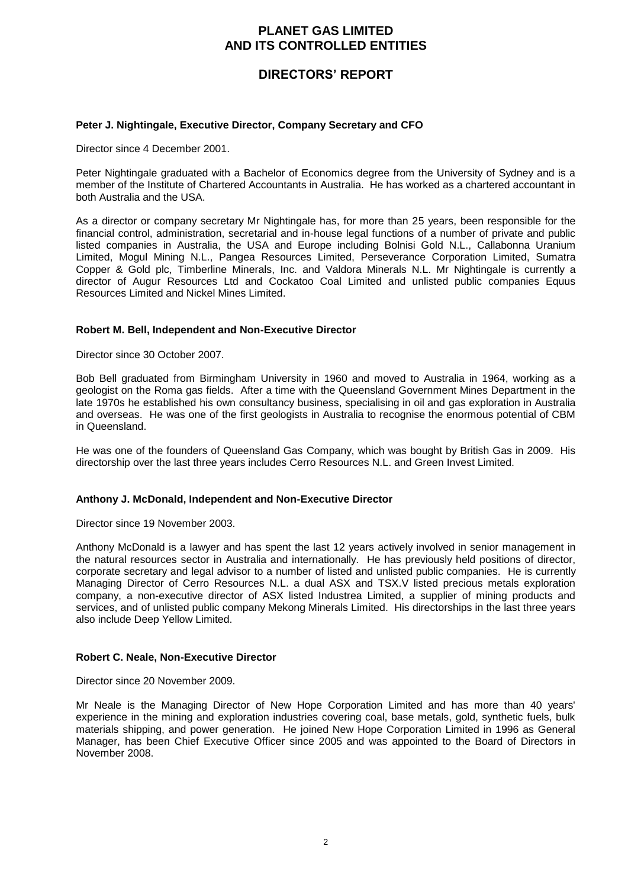## **DIRECTORS' REPORT**

### **Peter J. Nightingale, Executive Director, Company Secretary and CFO**

Director since 4 December 2001.

Peter Nightingale graduated with a Bachelor of Economics degree from the University of Sydney and is a member of the Institute of Chartered Accountants in Australia. He has worked as a chartered accountant in both Australia and the USA.

As a director or company secretary Mr Nightingale has, for more than 25 years, been responsible for the financial control, administration, secretarial and in-house legal functions of a number of private and public listed companies in Australia, the USA and Europe including Bolnisi Gold N.L., Callabonna Uranium Limited, Mogul Mining N.L., Pangea Resources Limited, Perseverance Corporation Limited, Sumatra Copper & Gold plc, Timberline Minerals, Inc. and Valdora Minerals N.L. Mr Nightingale is currently a director of Augur Resources Ltd and Cockatoo Coal Limited and unlisted public companies Equus Resources Limited and Nickel Mines Limited.

#### **Robert M. Bell, Independent and Non-Executive Director**

Director since 30 October 2007.

Bob Bell graduated from Birmingham University in 1960 and moved to Australia in 1964, working as a geologist on the Roma gas fields. After a time with the Queensland Government Mines Department in the late 1970s he established his own consultancy business, specialising in oil and gas exploration in Australia and overseas. He was one of the first geologists in Australia to recognise the enormous potential of CBM in Queensland.

He was one of the founders of Queensland Gas Company, which was bought by British Gas in 2009. His directorship over the last three years includes Cerro Resources N.L. and Green Invest Limited.

### **Anthony J. McDonald, Independent and Non-Executive Director**

Director since 19 November 2003.

Anthony McDonald is a lawyer and has spent the last 12 years actively involved in senior management in the natural resources sector in Australia and internationally. He has previously held positions of director, corporate secretary and legal advisor to a number of listed and unlisted public companies. He is currently Managing Director of Cerro Resources N.L. a dual ASX and TSX.V listed precious metals exploration company, a non-executive director of ASX listed Industrea Limited, a supplier of mining products and services, and of unlisted public company Mekong Minerals Limited. His directorships in the last three years also include Deep Yellow Limited.

#### **Robert C. Neale, Non-Executive Director**

Director since 20 November 2009.

Mr Neale is the Managing Director of New Hope Corporation Limited and has more than 40 years' experience in the mining and exploration industries covering coal, base metals, gold, synthetic fuels, bulk materials shipping, and power generation. He joined New Hope Corporation Limited in 1996 as General Manager, has been Chief Executive Officer since 2005 and was appointed to the Board of Directors in November 2008.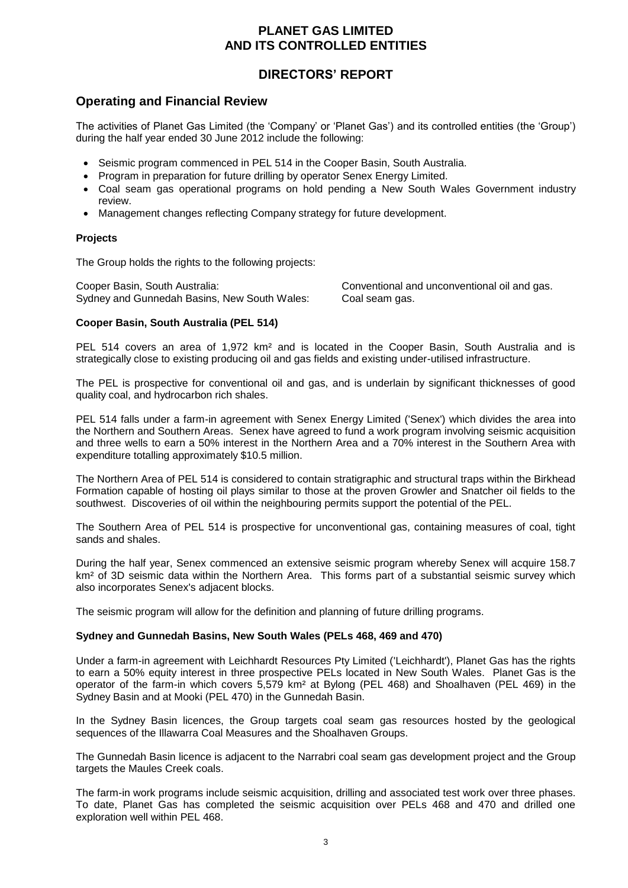## **DIRECTORS' REPORT**

## **Operating and Financial Review**

The activities of Planet Gas Limited (the 'Company' or 'Planet Gas') and its controlled entities (the 'Group') during the half year ended 30 June 2012 include the following:

- Seismic program commenced in PEL 514 in the Cooper Basin, South Australia.
- Program in preparation for future drilling by operator Senex Energy Limited.
- Coal seam gas operational programs on hold pending a New South Wales Government industry review.
- Management changes reflecting Company strategy for future development.

### **Projects**

The Group holds the rights to the following projects:

Cooper Basin, South Australia: Conventional and unconventional oil and gas. Sydney and Gunnedah Basins, New South Wales: Coal seam gas.

## **Cooper Basin, South Australia (PEL 514)**

PEL 514 covers an area of 1,972 km<sup>2</sup> and is located in the Cooper Basin, South Australia and is strategically close to existing producing oil and gas fields and existing under-utilised infrastructure.

The PEL is prospective for conventional oil and gas, and is underlain by significant thicknesses of good quality coal, and hydrocarbon rich shales.

PEL 514 falls under a farm-in agreement with Senex Energy Limited ('Senex') which divides the area into the Northern and Southern Areas. Senex have agreed to fund a work program involving seismic acquisition and three wells to earn a 50% interest in the Northern Area and a 70% interest in the Southern Area with expenditure totalling approximately \$10.5 million.

The Northern Area of PEL 514 is considered to contain stratigraphic and structural traps within the Birkhead Formation capable of hosting oil plays similar to those at the proven Growler and Snatcher oil fields to the southwest. Discoveries of oil within the neighbouring permits support the potential of the PEL.

The Southern Area of PEL 514 is prospective for unconventional gas, containing measures of coal, tight sands and shales.

During the half year, Senex commenced an extensive seismic program whereby Senex will acquire 158.7 km<sup>2</sup> of 3D seismic data within the Northern Area. This forms part of a substantial seismic survey which also incorporates Senex's adjacent blocks.

The seismic program will allow for the definition and planning of future drilling programs.

### **Sydney and Gunnedah Basins, New South Wales (PELs 468, 469 and 470)**

Under a farm-in agreement with Leichhardt Resources Pty Limited ('Leichhardt'), Planet Gas has the rights to earn a 50% equity interest in three prospective PELs located in New South Wales. Planet Gas is the operator of the farm-in which covers 5,579 km² at Bylong (PEL 468) and Shoalhaven (PEL 469) in the Sydney Basin and at Mooki (PEL 470) in the Gunnedah Basin.

In the Sydney Basin licences, the Group targets coal seam gas resources hosted by the geological sequences of the Illawarra Coal Measures and the Shoalhaven Groups.

The Gunnedah Basin licence is adjacent to the Narrabri coal seam gas development project and the Group targets the Maules Creek coals.

The farm-in work programs include seismic acquisition, drilling and associated test work over three phases. To date, Planet Gas has completed the seismic acquisition over PELs 468 and 470 and drilled one exploration well within PEL 468.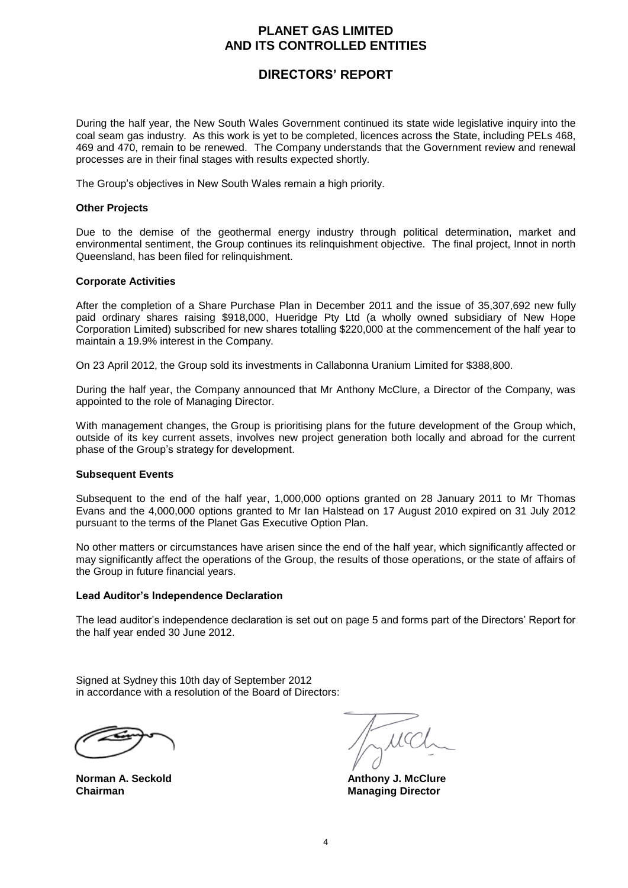## **DIRECTORS' REPORT**

During the half year, the New South Wales Government continued its state wide legislative inquiry into the coal seam gas industry. As this work is yet to be completed, licences across the State, including PELs 468, 469 and 470, remain to be renewed. The Company understands that the Government review and renewal processes are in their final stages with results expected shortly.

The Group's objectives in New South Wales remain a high priority.

#### **Other Projects**

Due to the demise of the geothermal energy industry through political determination, market and environmental sentiment, the Group continues its relinquishment objective. The final project, Innot in north Queensland, has been filed for relinquishment.

#### **Corporate Activities**

After the completion of a Share Purchase Plan in December 2011 and the issue of 35,307,692 new fully paid ordinary shares raising \$918,000, Hueridge Pty Ltd (a wholly owned subsidiary of New Hope Corporation Limited) subscribed for new shares totalling \$220,000 at the commencement of the half year to maintain a 19.9% interest in the Company.

On 23 April 2012, the Group sold its investments in Callabonna Uranium Limited for \$388,800.

During the half year, the Company announced that Mr Anthony McClure, a Director of the Company, was appointed to the role of Managing Director.

With management changes, the Group is prioritising plans for the future development of the Group which, outside of its key current assets, involves new project generation both locally and abroad for the current phase of the Group's strategy for development.

#### **Subsequent Events**

Subsequent to the end of the half year, 1,000,000 options granted on 28 January 2011 to Mr Thomas Evans and the 4,000,000 options granted to Mr Ian Halstead on 17 August 2010 expired on 31 July 2012 pursuant to the terms of the Planet Gas Executive Option Plan.

No other matters or circumstances have arisen since the end of the half year, which significantly affected or may significantly affect the operations of the Group, the results of those operations, or the state of affairs of the Group in future financial years.

### **Lead Auditor's Independence Declaration**

The lead auditor's independence declaration is set out on page 5 and forms part of the Directors' Report for the half year ended 30 June 2012.

Signed at Sydney this 10th day of September 2012 in accordance with a resolution of the Board of Directors:

**Chairman** Managing Director

 $\mu$ cc

**Norman A. Seckold Anthony J. McClure**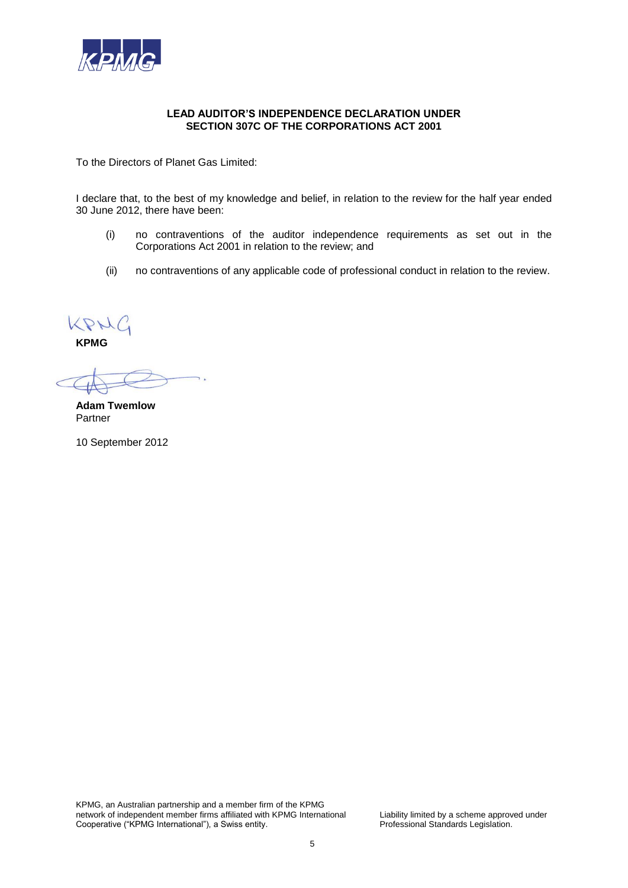

### **LEAD AUDITOR'S INDEPENDENCE DECLARATION UNDER SECTION 307C OF THE CORPORATIONS ACT 2001**

To the Directors of Planet Gas Limited:

I declare that, to the best of my knowledge and belief, in relation to the review for the half year ended 30 June 2012, there have been:

- (i) no contraventions of the auditor independence requirements as set out in the Corporations Act 2001 in relation to the review; and
- (ii) no contraventions of any applicable code of professional conduct in relation to the review.

KPHC

**KPMG**

**Adam Twemlow** Partner

10 September 2012

KPMG, an Australian partnership and a member firm of the KPMG network of independent member firms affiliated with KPMG International Liability limited by a scheme approved under<br>Cooperative ("KPMG International"), a Swiss entity.<br>Professional Standards Legislation. Cooperative ("KPMG International"), a Swiss entity.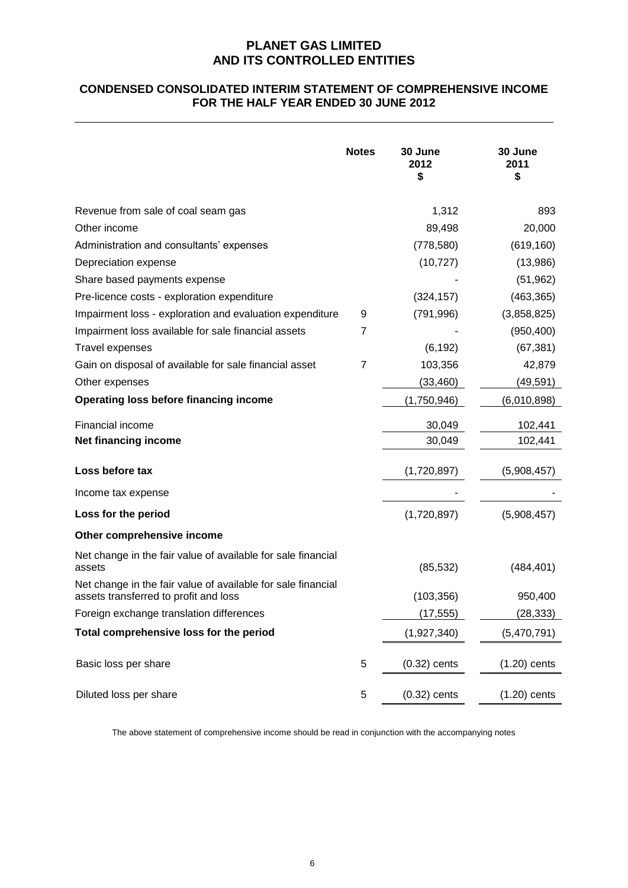## **CONDENSED CONSOLIDATED INTERIM STATEMENT OF COMPREHENSIVE INCOME FOR THE HALF YEAR ENDED 30 JUNE 2012**

|                                                                                                       | <b>Notes</b> | 30 June<br>2012<br>\$ | 30 June<br>2011<br>\$ |
|-------------------------------------------------------------------------------------------------------|--------------|-----------------------|-----------------------|
| Revenue from sale of coal seam gas                                                                    |              | 1,312                 | 893                   |
| Other income                                                                                          |              | 89,498                | 20,000                |
| Administration and consultants' expenses                                                              |              | (778, 580)            | (619, 160)            |
| Depreciation expense                                                                                  |              | (10, 727)             | (13,986)              |
| Share based payments expense                                                                          |              |                       | (51, 962)             |
| Pre-licence costs - exploration expenditure                                                           |              | (324, 157)            | (463, 365)            |
| Impairment loss - exploration and evaluation expenditure                                              | 9            | (791, 996)            | (3,858,825)           |
| Impairment loss available for sale financial assets                                                   | 7            |                       | (950, 400)            |
| Travel expenses                                                                                       |              | (6, 192)              | (67, 381)             |
| Gain on disposal of available for sale financial asset                                                | 7            | 103,356               | 42,879                |
| Other expenses                                                                                        |              | (33, 460)             | (49, 591)             |
| <b>Operating loss before financing income</b>                                                         |              | (1,750,946)           | (6,010,898)           |
| <b>Financial income</b>                                                                               |              | 30,049                | 102,441               |
| Net financing income                                                                                  |              | 30,049                | 102,441               |
| Loss before tax                                                                                       |              | (1,720,897)           | (5,908,457)           |
| Income tax expense                                                                                    |              |                       |                       |
| Loss for the period                                                                                   |              | (1,720,897)           | (5,908,457)           |
| Other comprehensive income                                                                            |              |                       |                       |
| Net change in the fair value of available for sale financial<br>assets                                |              | (85, 532)             | (484, 401)            |
| Net change in the fair value of available for sale financial<br>assets transferred to profit and loss |              | (103, 356)            | 950,400               |
| Foreign exchange translation differences                                                              |              | (17,555)              | (28,333)              |
| Total comprehensive loss for the period                                                               |              | (1,927,340)           | (5,470,791)           |
| Basic loss per share                                                                                  | 5            | $(0.32)$ cents        | $(1.20)$ cents        |
| Diluted loss per share                                                                                | 5            | $(0.32)$ cents        | $(1.20)$ cents        |

The above statement of comprehensive income should be read in conjunction with the accompanying notes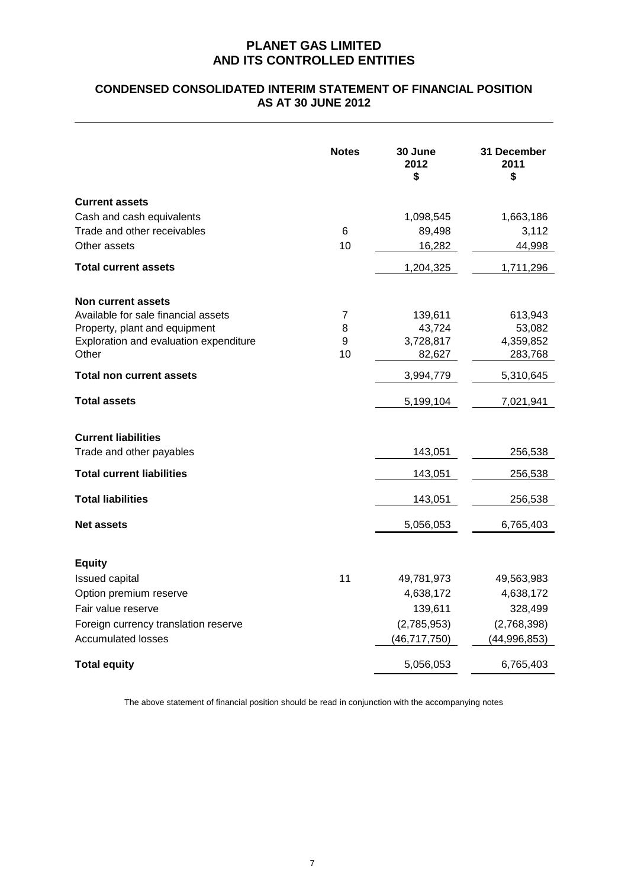## **CONDENSED CONSOLIDATED INTERIM STATEMENT OF FINANCIAL POSITION AS AT 30 JUNE 2012**

|                                        | <b>Notes</b>   | 30 June<br>2012<br>\$ | 31 December<br>2011<br>\$ |
|----------------------------------------|----------------|-----------------------|---------------------------|
| <b>Current assets</b>                  |                |                       |                           |
| Cash and cash equivalents              |                | 1,098,545             | 1,663,186                 |
| Trade and other receivables            | 6              | 89,498                | 3,112                     |
| Other assets                           | 10             | 16,282                | 44,998                    |
| <b>Total current assets</b>            |                | 1,204,325             | 1,711,296                 |
| Non current assets                     |                |                       |                           |
| Available for sale financial assets    | $\overline{7}$ | 139,611               | 613,943                   |
| Property, plant and equipment          | 8              | 43,724                | 53,082                    |
| Exploration and evaluation expenditure | 9              | 3,728,817             | 4,359,852                 |
| Other                                  | 10             | 82,627                | 283,768                   |
| <b>Total non current assets</b>        |                | 3,994,779             | 5,310,645                 |
| <b>Total assets</b>                    |                | 5,199,104             | 7,021,941                 |
| <b>Current liabilities</b>             |                |                       |                           |
| Trade and other payables               |                | 143,051               | 256,538                   |
| <b>Total current liabilities</b>       |                | 143,051               | 256,538                   |
| <b>Total liabilities</b>               |                | 143,051               | 256,538                   |
| <b>Net assets</b>                      |                | 5,056,053             | 6,765,403                 |
|                                        |                |                       |                           |
| <b>Equity</b>                          |                |                       |                           |
| Issued capital                         | 11             | 49,781,973            | 49,563,983                |
| Option premium reserve                 |                | 4,638,172             | 4,638,172                 |
| Fair value reserve                     |                | 139,611               | 328,499                   |
| Foreign currency translation reserve   |                | (2,785,953)           | (2,768,398)               |
| <b>Accumulated losses</b>              |                | (46, 717, 750)        | (44, 996, 853)            |
| <b>Total equity</b>                    |                | 5,056,053             | 6,765,403                 |

The above statement of financial position should be read in conjunction with the accompanying notes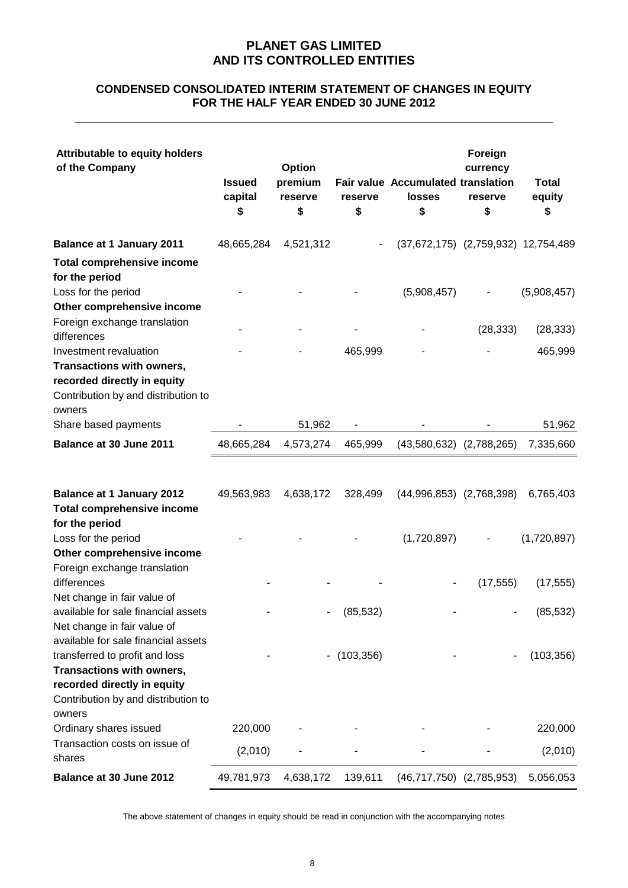## **CONDENSED CONSOLIDATED INTERIM STATEMENT OF CHANGES IN EQUITY FOR THE HALF YEAR ENDED 30 JUNE 2012**

| <b>Attributable to equity holders</b><br>of the Company                                                   | <b>Issued</b><br>capital<br>\$ | Option<br>premium<br>reserve<br>\$ | reserve<br>\$ | <b>Fair value Accumulated translation</b><br><b>losses</b><br>\$ | Foreign<br>currency<br>reserve<br>\$ | <b>Total</b><br>equity<br>\$ |
|-----------------------------------------------------------------------------------------------------------|--------------------------------|------------------------------------|---------------|------------------------------------------------------------------|--------------------------------------|------------------------------|
| <b>Balance at 1 January 2011</b>                                                                          | 48,665,284                     | 4,521,312                          |               | (37,672,175) (2,759,932) 12,754,489                              |                                      |                              |
| <b>Total comprehensive income</b><br>for the period<br>Loss for the period                                |                                |                                    |               | (5,908,457)                                                      |                                      | (5,908,457)                  |
| Other comprehensive income                                                                                |                                |                                    |               |                                                                  |                                      |                              |
| Foreign exchange translation<br>differences                                                               |                                |                                    |               |                                                                  | (28, 333)                            | (28, 333)                    |
| Investment revaluation                                                                                    |                                |                                    | 465,999       |                                                                  |                                      | 465,999                      |
| Transactions with owners,<br>recorded directly in equity<br>Contribution by and distribution to<br>owners |                                |                                    |               |                                                                  |                                      |                              |
| Share based payments                                                                                      |                                | 51,962                             |               |                                                                  |                                      | 51,962                       |
| Balance at 30 June 2011                                                                                   | 48,665,284                     | 4,573,274                          | 465,999       | $(43,580,632)$ $(2,788,265)$                                     |                                      | 7,335,660                    |
| <b>Balance at 1 January 2012</b><br><b>Total comprehensive income</b><br>for the period                   | 49,563,983                     | 4,638,172                          | 328,499       | $(44,996,853)$ $(2,768,398)$                                     |                                      | 6,765,403                    |
| Loss for the period                                                                                       |                                |                                    |               | (1,720,897)                                                      |                                      | (1,720,897)                  |
| Other comprehensive income<br>Foreign exchange translation<br>differences                                 |                                |                                    |               |                                                                  | (17, 555)                            | (17, 555)                    |
| Net change in fair value of<br>available for sale financial assets<br>Net change in fair value of         |                                |                                    | (85, 532)     |                                                                  |                                      | (85, 532)                    |
| available for sale financial assets<br>transferred to profit and loss<br>Transactions with owners,        |                                | ۰                                  | (103, 356)    |                                                                  |                                      | (103, 356)                   |
| recorded directly in equity<br>Contribution by and distribution to<br>owners                              |                                |                                    |               |                                                                  |                                      |                              |
| Ordinary shares issued                                                                                    | 220,000                        |                                    |               |                                                                  |                                      | 220,000                      |
| Transaction costs on issue of<br>shares                                                                   | (2,010)                        |                                    |               |                                                                  |                                      | (2,010)                      |
| Balance at 30 June 2012                                                                                   | 49,781,973                     | 4,638,172                          | 139,611       | $(46,717,750)$ $(2,785,953)$                                     |                                      | 5,056,053                    |

The above statement of changes in equity should be read in conjunction with the accompanying notes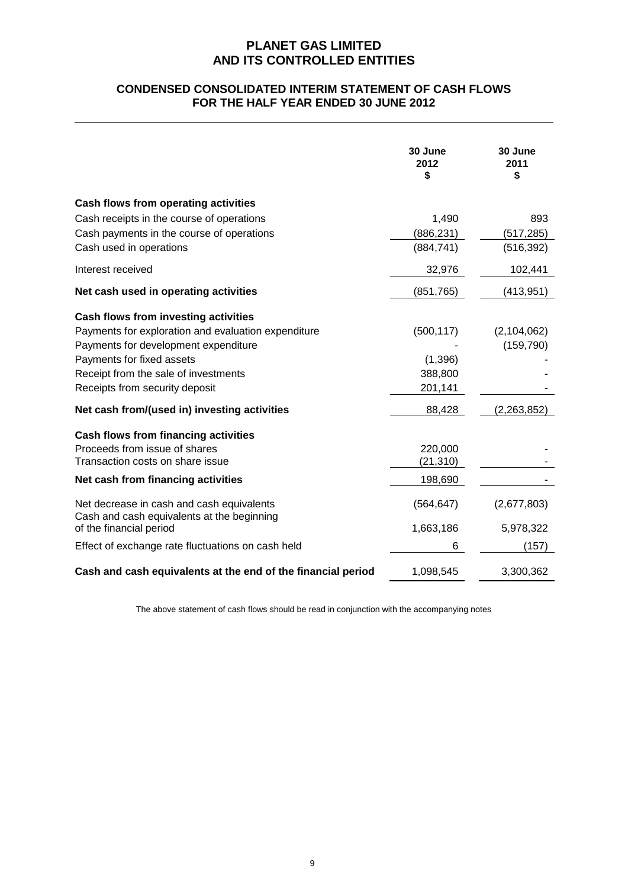## **CONDENSED CONSOLIDATED INTERIM STATEMENT OF CASH FLOWS FOR THE HALF YEAR ENDED 30 JUNE 2012**

|                                                                                         | 30 June<br>2012<br>\$ | 30 June<br>2011<br>\$ |
|-----------------------------------------------------------------------------------------|-----------------------|-----------------------|
| Cash flows from operating activities                                                    |                       |                       |
| Cash receipts in the course of operations                                               | 1,490                 | 893                   |
| Cash payments in the course of operations                                               | (886, 231)            | (517,285)             |
| Cash used in operations                                                                 | (884, 741)            | (516, 392)            |
| Interest received                                                                       | 32,976                | 102,441               |
| Net cash used in operating activities                                                   | (851, 765)            | (413,951)             |
| Cash flows from investing activities                                                    |                       |                       |
| Payments for exploration and evaluation expenditure                                     | (500, 117)            | (2, 104, 062)         |
| Payments for development expenditure                                                    |                       | (159, 790)            |
| Payments for fixed assets                                                               | (1,396)               |                       |
| Receipt from the sale of investments                                                    | 388,800               |                       |
| Receipts from security deposit                                                          | 201,141               |                       |
| Net cash from/(used in) investing activities                                            | 88,428                | (2, 263, 852)         |
| Cash flows from financing activities                                                    |                       |                       |
| Proceeds from issue of shares                                                           | 220,000               |                       |
| Transaction costs on share issue                                                        | (21, 310)             |                       |
| Net cash from financing activities                                                      | 198,690               |                       |
| Net decrease in cash and cash equivalents<br>Cash and cash equivalents at the beginning | (564, 647)            | (2,677,803)           |
| of the financial period                                                                 | 1,663,186             | 5,978,322             |
| Effect of exchange rate fluctuations on cash held                                       | 6                     | (157)                 |
| Cash and cash equivalents at the end of the financial period                            | 1,098,545             | 3,300,362             |

The above statement of cash flows should be read in conjunction with the accompanying notes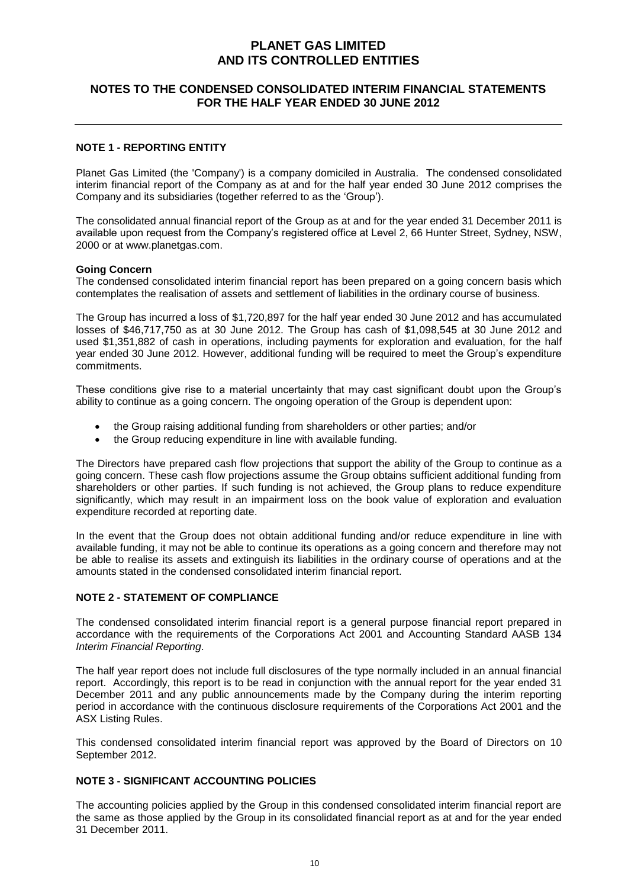## **NOTES TO THE CONDENSED CONSOLIDATED INTERIM FINANCIAL STATEMENTS FOR THE HALF YEAR ENDED 30 JUNE 2012**

### **NOTE 1 - REPORTING ENTITY**

Planet Gas Limited (the 'Company') is a company domiciled in Australia. The condensed consolidated interim financial report of the Company as at and for the half year ended 30 June 2012 comprises the Company and its subsidiaries (together referred to as the 'Group').

The consolidated annual financial report of the Group as at and for the year ended 31 December 2011 is available upon request from the Company's registered office at Level 2, 66 Hunter Street, Sydney, NSW, 2000 or at www.planetgas.com.

#### **Going Concern**

The condensed consolidated interim financial report has been prepared on a going concern basis which contemplates the realisation of assets and settlement of liabilities in the ordinary course of business.

The Group has incurred a loss of \$1,720,897 for the half year ended 30 June 2012 and has accumulated losses of \$46,717,750 as at 30 June 2012. The Group has cash of \$1,098,545 at 30 June 2012 and used \$1,351,882 of cash in operations, including payments for exploration and evaluation, for the half year ended 30 June 2012. However, additional funding will be required to meet the Group's expenditure commitments.

These conditions give rise to a material uncertainty that may cast significant doubt upon the Group's ability to continue as a going concern. The ongoing operation of the Group is dependent upon:

- the Group raising additional funding from shareholders or other parties; and/or
- the Group reducing expenditure in line with available funding.

The Directors have prepared cash flow projections that support the ability of the Group to continue as a going concern. These cash flow projections assume the Group obtains sufficient additional funding from shareholders or other parties. If such funding is not achieved, the Group plans to reduce expenditure significantly, which may result in an impairment loss on the book value of exploration and evaluation expenditure recorded at reporting date.

In the event that the Group does not obtain additional funding and/or reduce expenditure in line with available funding, it may not be able to continue its operations as a going concern and therefore may not be able to realise its assets and extinguish its liabilities in the ordinary course of operations and at the amounts stated in the condensed consolidated interim financial report.

#### **NOTE 2 - STATEMENT OF COMPLIANCE**

The condensed consolidated interim financial report is a general purpose financial report prepared in accordance with the requirements of the Corporations Act 2001 and Accounting Standard AASB 134 *Interim Financial Reporting*.

The half year report does not include full disclosures of the type normally included in an annual financial report. Accordingly, this report is to be read in conjunction with the annual report for the year ended 31 December 2011 and any public announcements made by the Company during the interim reporting period in accordance with the continuous disclosure requirements of the Corporations Act 2001 and the ASX Listing Rules.

This condensed consolidated interim financial report was approved by the Board of Directors on 10 September 2012.

### **NOTE 3 - SIGNIFICANT ACCOUNTING POLICIES**

The accounting policies applied by the Group in this condensed consolidated interim financial report are the same as those applied by the Group in its consolidated financial report as at and for the year ended 31 December 2011.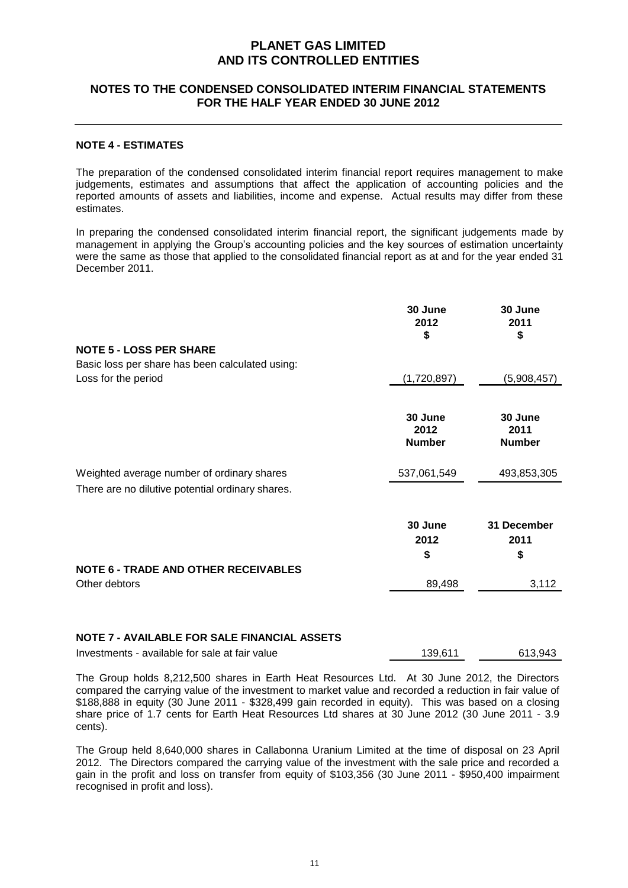## **NOTES TO THE CONDENSED CONSOLIDATED INTERIM FINANCIAL STATEMENTS FOR THE HALF YEAR ENDED 30 JUNE 2012**

### **NOTE 4 - ESTIMATES**

The preparation of the condensed consolidated interim financial report requires management to make judgements, estimates and assumptions that affect the application of accounting policies and the reported amounts of assets and liabilities, income and expense. Actual results may differ from these estimates.

In preparing the condensed consolidated interim financial report, the significant judgements made by management in applying the Group's accounting policies and the key sources of estimation uncertainty were the same as those that applied to the consolidated financial report as at and for the year ended 31 December 2011.

|                                                                                                          | 30 June<br>2012<br>\$            | 30 June<br>2011<br>\$            |
|----------------------------------------------------------------------------------------------------------|----------------------------------|----------------------------------|
| <b>NOTE 5 - LOSS PER SHARE</b><br>Basic loss per share has been calculated using:<br>Loss for the period | (1,720,897)                      | (5,908,457)                      |
|                                                                                                          | 30 June<br>2012<br><b>Number</b> | 30 June<br>2011<br><b>Number</b> |
| Weighted average number of ordinary shares<br>There are no dilutive potential ordinary shares.           | 537,061,549                      | 493,853,305                      |
|                                                                                                          | 30 June<br>2012<br>\$            | 31 December<br>2011<br>\$        |
| <b>NOTE 6 - TRADE AND OTHER RECEIVABLES</b><br>Other debtors                                             | 89,498                           | 3,112                            |

## **NOTE 7 - AVAILABLE FOR SALE FINANCIAL ASSETS**

Investments - available for sale at fair value 139,611 613,943

The Group holds 8,212,500 shares in Earth Heat Resources Ltd. At 30 June 2012, the Directors compared the carrying value of the investment to market value and recorded a reduction in fair value of \$188,888 in equity (30 June 2011 - \$328,499 gain recorded in equity). This was based on a closing share price of 1.7 cents for Earth Heat Resources Ltd shares at 30 June 2012 (30 June 2011 - 3.9 cents).

The Group held 8,640,000 shares in Callabonna Uranium Limited at the time of disposal on 23 April 2012. The Directors compared the carrying value of the investment with the sale price and recorded a gain in the profit and loss on transfer from equity of \$103,356 (30 June 2011 - \$950,400 impairment recognised in profit and loss).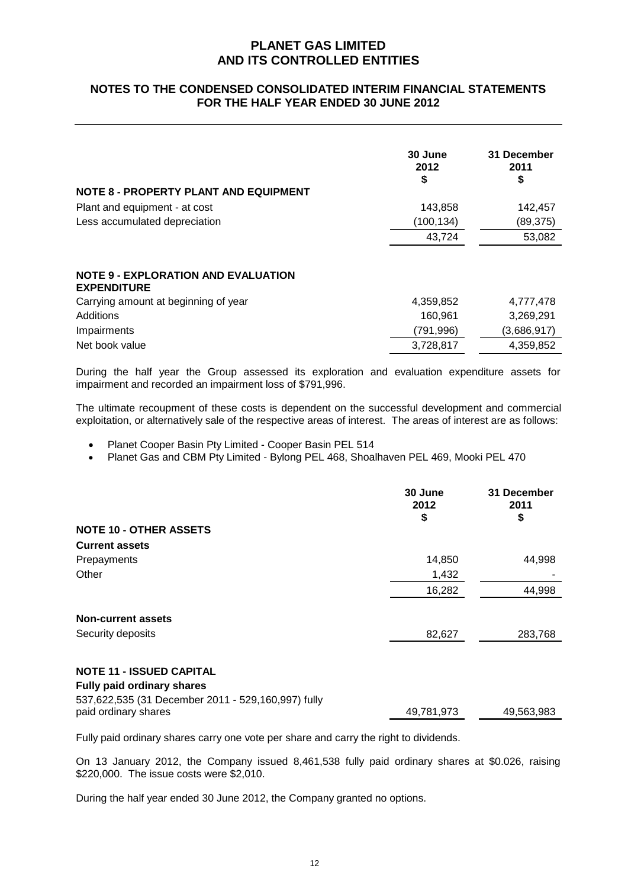## **NOTES TO THE CONDENSED CONSOLIDATED INTERIM FINANCIAL STATEMENTS FOR THE HALF YEAR ENDED 30 JUNE 2012**

|                                                                  | 30 June<br>2012<br>S | 31 December<br>2011<br>\$ |
|------------------------------------------------------------------|----------------------|---------------------------|
| <b>NOTE 8 - PROPERTY PLANT AND EQUIPMENT</b>                     |                      |                           |
| Plant and equipment - at cost                                    | 143,858              | 142,457                   |
| Less accumulated depreciation                                    | (100, 134)           | (89, 375)                 |
|                                                                  | 43,724               | 53,082                    |
| <b>NOTE 9 - EXPLORATION AND EVALUATION</b><br><b>EXPENDITURE</b> |                      |                           |
| Carrying amount at beginning of year                             | 4,359,852            | 4,777,478                 |
| Additions                                                        | 160,961              | 3,269,291                 |
| Impairments                                                      | (791, 996)           | (3,686,917)               |
| Net book value                                                   | 3,728,817            | 4,359,852                 |
|                                                                  |                      |                           |

During the half year the Group assessed its exploration and evaluation expenditure assets for impairment and recorded an impairment loss of \$791,996.

The ultimate recoupment of these costs is dependent on the successful development and commercial exploitation, or alternatively sale of the respective areas of interest. The areas of interest are as follows:

Planet Cooper Basin Pty Limited - Cooper Basin PEL 514

Planet Gas and CBM Pty Limited - Bylong PEL 468, Shoalhaven PEL 469, Mooki PEL 470

| <b>NOTE 10 - OTHER ASSETS</b>                                                                                   | 30 June<br>2012<br>\$ | 31 December<br>2011<br>\$ |
|-----------------------------------------------------------------------------------------------------------------|-----------------------|---------------------------|
| <b>Current assets</b>                                                                                           |                       |                           |
| Prepayments                                                                                                     | 14,850                | 44,998                    |
| Other                                                                                                           | 1,432                 |                           |
|                                                                                                                 | 16,282                | 44,998                    |
| <b>Non-current assets</b>                                                                                       |                       |                           |
| Security deposits                                                                                               | 82,627                | 283,768                   |
| <b>NOTE 11 - ISSUED CAPITAL</b>                                                                                 |                       |                           |
| <b>Fully paid ordinary shares</b><br>537,622,535 (31 December 2011 - 529,160,997) fully<br>paid ordinary shares | 49,781,973            | 49,563,983                |

Fully paid ordinary shares carry one vote per share and carry the right to dividends.

On 13 January 2012, the Company issued 8,461,538 fully paid ordinary shares at \$0.026, raising \$220,000. The issue costs were \$2,010.

During the half year ended 30 June 2012, the Company granted no options.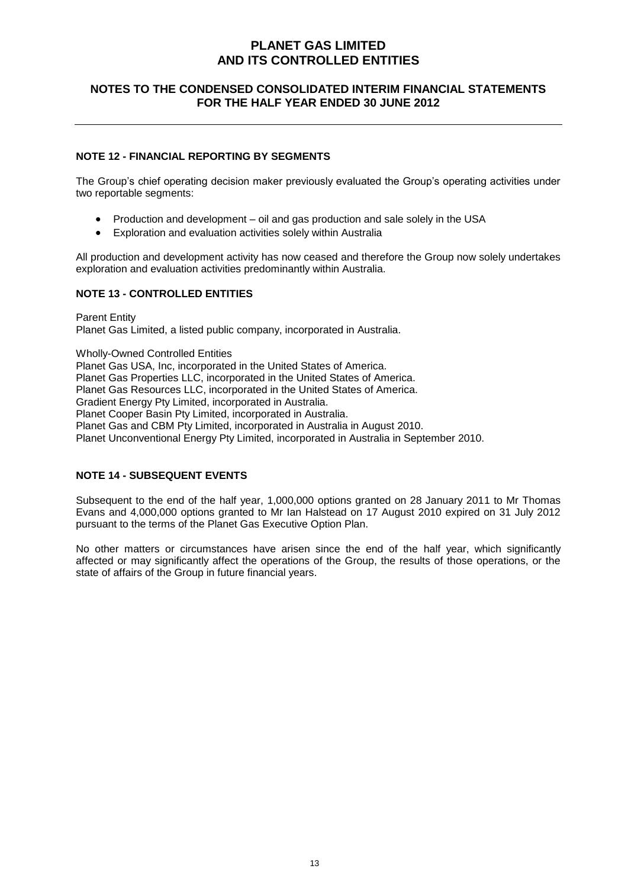## **NOTES TO THE CONDENSED CONSOLIDATED INTERIM FINANCIAL STATEMENTS FOR THE HALF YEAR ENDED 30 JUNE 2012**

### **NOTE 12 - FINANCIAL REPORTING BY SEGMENTS**

The Group's chief operating decision maker previously evaluated the Group's operating activities under two reportable segments:

- Production and development oil and gas production and sale solely in the USA
- Exploration and evaluation activities solely within Australia

All production and development activity has now ceased and therefore the Group now solely undertakes exploration and evaluation activities predominantly within Australia.

### **NOTE 13 - CONTROLLED ENTITIES**

Parent Entity Planet Gas Limited, a listed public company, incorporated in Australia.

Wholly-Owned Controlled Entities Planet Gas USA, Inc, incorporated in the United States of America. Planet Gas Properties LLC, incorporated in the United States of America. Planet Gas Resources LLC, incorporated in the United States of America. Gradient Energy Pty Limited, incorporated in Australia. Planet Cooper Basin Pty Limited, incorporated in Australia. Planet Gas and CBM Pty Limited, incorporated in Australia in August 2010. Planet Unconventional Energy Pty Limited, incorporated in Australia in September 2010.

### **NOTE 14 - SUBSEQUENT EVENTS**

Subsequent to the end of the half year, 1,000,000 options granted on 28 January 2011 to Mr Thomas Evans and 4,000,000 options granted to Mr Ian Halstead on 17 August 2010 expired on 31 July 2012 pursuant to the terms of the Planet Gas Executive Option Plan.

No other matters or circumstances have arisen since the end of the half year, which significantly affected or may significantly affect the operations of the Group, the results of those operations, or the state of affairs of the Group in future financial years.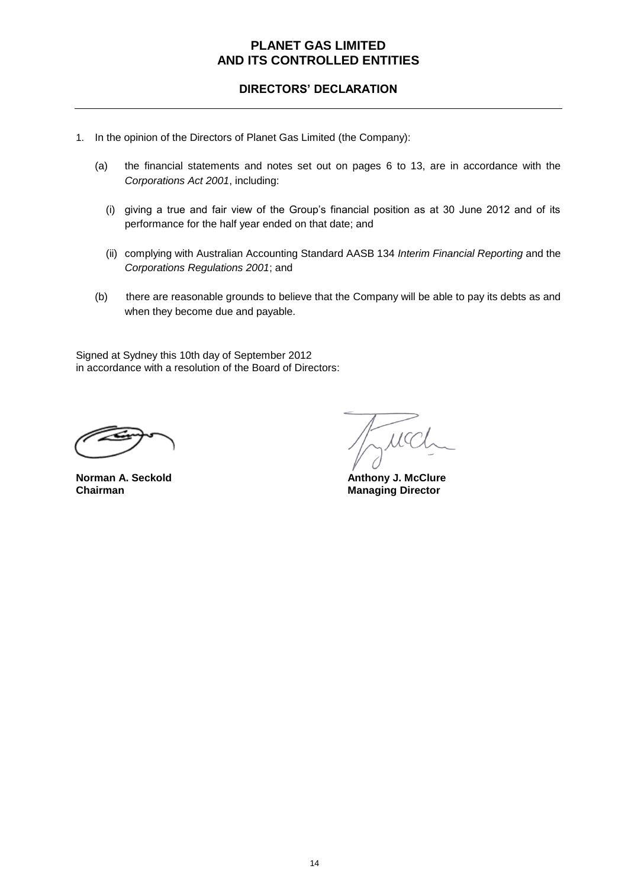## **DIRECTORS' DECLARATION**

- 1. In the opinion of the Directors of Planet Gas Limited (the Company):
	- (a) the financial statements and notes set out on pages 6 to 13, are in accordance with the *Corporations Act 2001*, including:
		- (i) giving a true and fair view of the Group's financial position as at 30 June 2012 and of its performance for the half year ended on that date; and
		- (ii) complying with Australian Accounting Standard AASB 134 *Interim Financial Reporting* and the *Corporations Regulations 2001*; and
	- (b) there are reasonable grounds to believe that the Company will be able to pay its debts as and when they become due and payable.

Signed at Sydney this 10th day of September 2012 in accordance with a resolution of the Board of Directors:

MC

**Norman A. Seckold Anthony J. McClure Chairman** Managing Director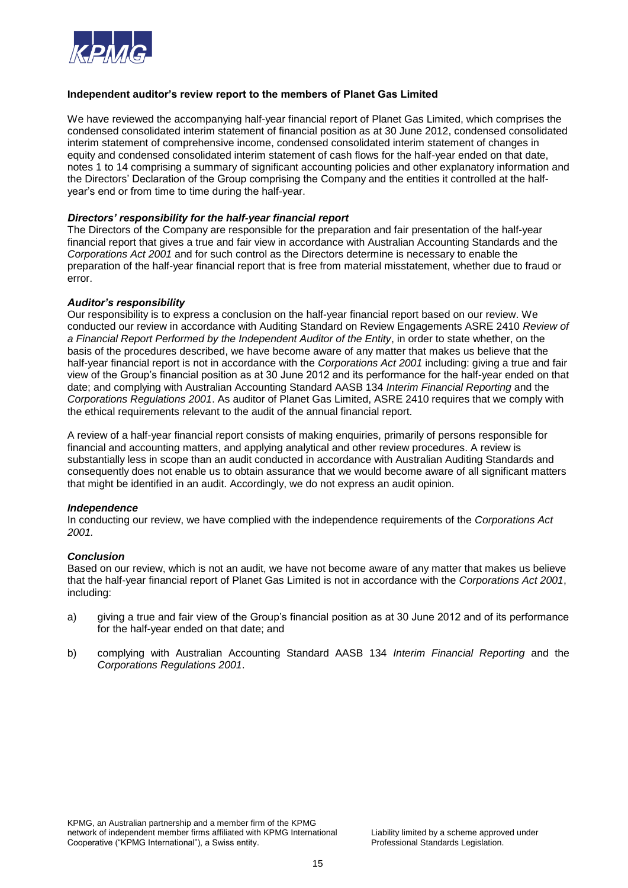

### **Independent auditor's review report to the members of Planet Gas Limited**

We have reviewed the accompanying half-year financial report of Planet Gas Limited, which comprises the condensed consolidated interim statement of financial position as at 30 June 2012, condensed consolidated interim statement of comprehensive income, condensed consolidated interim statement of changes in equity and condensed consolidated interim statement of cash flows for the half-year ended on that date, notes 1 to 14 comprising a summary of significant accounting policies and other explanatory information and the Directors' Declaration of the Group comprising the Company and the entities it controlled at the halfyear's end or from time to time during the half-year.

### *Directors' responsibility for the half-year financial report*

The Directors of the Company are responsible for the preparation and fair presentation of the half-year financial report that gives a true and fair view in accordance with Australian Accounting Standards and the *Corporations Act 2001* and for such control as the Directors determine is necessary to enable the preparation of the half-year financial report that is free from material misstatement, whether due to fraud or error.

### *Auditor's responsibility*

Our responsibility is to express a conclusion on the half-year financial report based on our review. We conducted our review in accordance with Auditing Standard on Review Engagements ASRE 2410 *Review of a Financial Report Performed by the Independent Auditor of the Entity*, in order to state whether, on the basis of the procedures described, we have become aware of any matter that makes us believe that the half-year financial report is not in accordance with the *Corporations Act 2001* including: giving a true and fair view of the Group's financial position as at 30 June 2012 and its performance for the half-year ended on that date; and complying with Australian Accounting Standard AASB 134 *Interim Financial Reporting* and the *Corporations Regulations 2001*. As auditor of Planet Gas Limited, ASRE 2410 requires that we comply with the ethical requirements relevant to the audit of the annual financial report.

A review of a half-year financial report consists of making enquiries, primarily of persons responsible for financial and accounting matters, and applying analytical and other review procedures. A review is substantially less in scope than an audit conducted in accordance with Australian Auditing Standards and consequently does not enable us to obtain assurance that we would become aware of all significant matters that might be identified in an audit. Accordingly, we do not express an audit opinion.

#### *Independence*

In conducting our review, we have complied with the independence requirements of the *Corporations Act 2001.*

#### *Conclusion*

Based on our review, which is not an audit, we have not become aware of any matter that makes us believe that the half-year financial report of Planet Gas Limited is not in accordance with the *Corporations Act 2001*, including:

- a) giving a true and fair view of the Group's financial position as at 30 June 2012 and of its performance for the half-year ended on that date; and
- b) complying with Australian Accounting Standard AASB 134 *Interim Financial Reporting* and the *Corporations Regulations 2001*.

KPMG, an Australian partnership and a member firm of the KPMG network of independent member firms affiliated with KPMG International Liability limited by a scheme approved under Cooperative ("KPMG International"), a Swiss entity. **Example 20 and Standards Legislation**.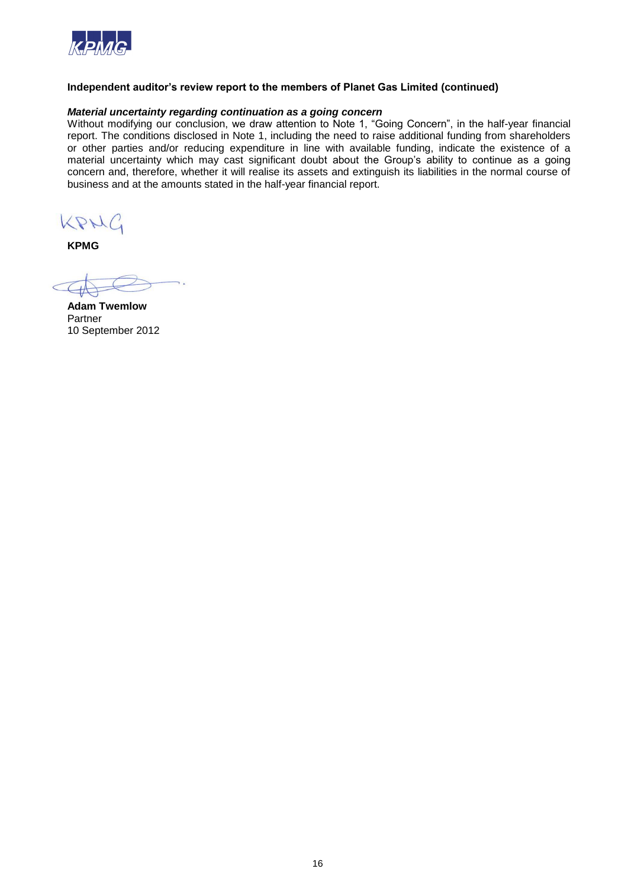

### **Independent auditor's review report to the members of Planet Gas Limited (continued)**

### *Material uncertainty regarding continuation as a going concern*

Without modifying our conclusion, we draw attention to Note 1, "Going Concern", in the half-year financial report. The conditions disclosed in Note 1, including the need to raise additional funding from shareholders or other parties and/or reducing expenditure in line with available funding, indicate the existence of a material uncertainty which may cast significant doubt about the Group's ability to continue as a going concern and, therefore, whether it will realise its assets and extinguish its liabilities in the normal course of business and at the amounts stated in the half-year financial report.

KPHG

**KPMG**

**Adam Twemlow** Partner 10 September 2012